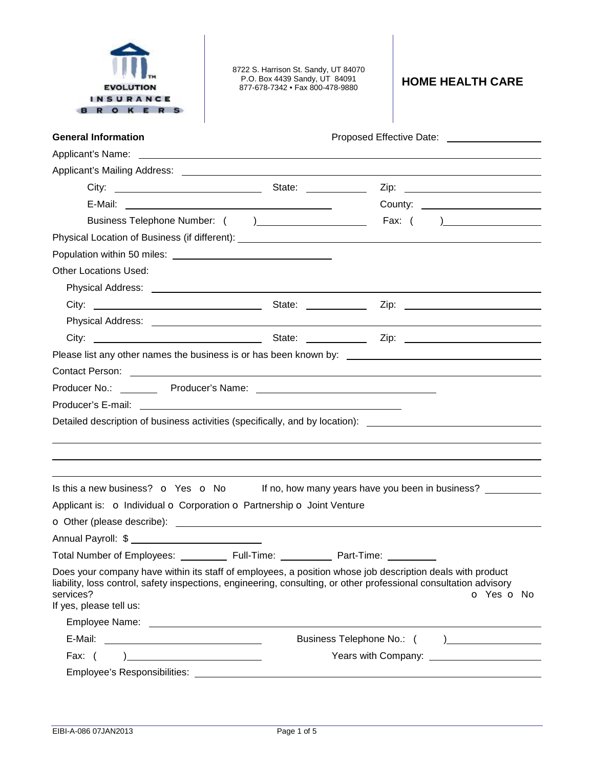| URAN                                                                                                           | 8722 S. Harrison St. Sandy, UT 84070<br>P.O. Box 4439 Sandy, UT 84091<br>877-678-7342 • Fax 800-478-9880                                                                                                                             | <b>HOME HEALTH CARE</b>                          |  |  |  |  |
|----------------------------------------------------------------------------------------------------------------|--------------------------------------------------------------------------------------------------------------------------------------------------------------------------------------------------------------------------------------|--------------------------------------------------|--|--|--|--|
| <b>General Information</b>                                                                                     |                                                                                                                                                                                                                                      |                                                  |  |  |  |  |
| Applicant's Name:                                                                                              | <u> 1980 - Antonio Alemania, prima postala de la contrada de la contrada de la contrada de la contrada de la con</u>                                                                                                                 |                                                  |  |  |  |  |
|                                                                                                                |                                                                                                                                                                                                                                      |                                                  |  |  |  |  |
| City:                                                                                                          |                                                                                                                                                                                                                                      |                                                  |  |  |  |  |
|                                                                                                                |                                                                                                                                                                                                                                      |                                                  |  |  |  |  |
|                                                                                                                |                                                                                                                                                                                                                                      |                                                  |  |  |  |  |
|                                                                                                                |                                                                                                                                                                                                                                      |                                                  |  |  |  |  |
|                                                                                                                |                                                                                                                                                                                                                                      |                                                  |  |  |  |  |
| <b>Other Locations Used:</b>                                                                                   |                                                                                                                                                                                                                                      |                                                  |  |  |  |  |
|                                                                                                                |                                                                                                                                                                                                                                      |                                                  |  |  |  |  |
|                                                                                                                |                                                                                                                                                                                                                                      |                                                  |  |  |  |  |
|                                                                                                                |                                                                                                                                                                                                                                      |                                                  |  |  |  |  |
|                                                                                                                |                                                                                                                                                                                                                                      |                                                  |  |  |  |  |
|                                                                                                                |                                                                                                                                                                                                                                      |                                                  |  |  |  |  |
|                                                                                                                | Contact Person: <u>December 2008 and Contact Contact Contact Contact Contact Contact Contact Contact Contact Contact Contact Contact Contact Contact Contact Contact Contact Contact Contact Contact Contact Contact Contact Con</u> |                                                  |  |  |  |  |
|                                                                                                                |                                                                                                                                                                                                                                      |                                                  |  |  |  |  |
| Producer's E-mail: Web and the contract of the contract of the contract of the contract of the contract of the |                                                                                                                                                                                                                                      |                                                  |  |  |  |  |
|                                                                                                                | Detailed description of business activities (specifically, and by location): _______________________                                                                                                                                 |                                                  |  |  |  |  |
|                                                                                                                |                                                                                                                                                                                                                                      |                                                  |  |  |  |  |
|                                                                                                                |                                                                                                                                                                                                                                      |                                                  |  |  |  |  |
|                                                                                                                |                                                                                                                                                                                                                                      |                                                  |  |  |  |  |
| Is this a new business? o Yes o No                                                                             |                                                                                                                                                                                                                                      | If no, how many years have you been in business? |  |  |  |  |
|                                                                                                                | Applicant is: o Individual o Corporation o Partnership o Joint Venture                                                                                                                                                               |                                                  |  |  |  |  |
|                                                                                                                |                                                                                                                                                                                                                                      |                                                  |  |  |  |  |
| Annual Payroll: \$                                                                                             |                                                                                                                                                                                                                                      |                                                  |  |  |  |  |
| Total Number of Employees: ____________ Full-Time: ____________ Part-Time: __________                          |                                                                                                                                                                                                                                      |                                                  |  |  |  |  |
| services?<br>If yes, please tell us:                                                                           | Does your company have within its staff of employees, a position whose job description deals with product<br>liability, loss control, safety inspections, engineering, consulting, or other professional consultation advisory       | <b>o</b> Yes <b>o</b> No                         |  |  |  |  |
|                                                                                                                |                                                                                                                                                                                                                                      |                                                  |  |  |  |  |
|                                                                                                                |                                                                                                                                                                                                                                      |                                                  |  |  |  |  |
| Years with Company: <u>contract the contract of</u>                                                            |                                                                                                                                                                                                                                      |                                                  |  |  |  |  |
|                                                                                                                |                                                                                                                                                                                                                                      |                                                  |  |  |  |  |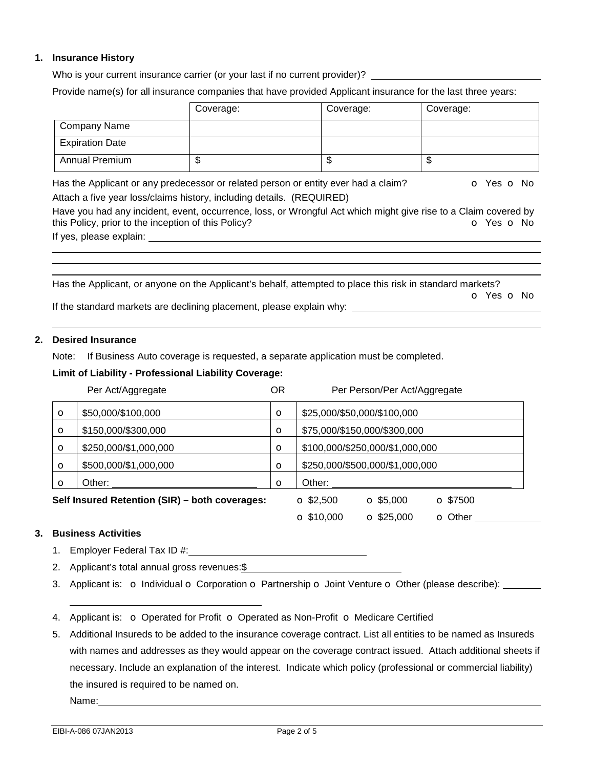## **1. Insurance History**

Who is your current insurance carrier (or your last if no current provider)?

Provide name(s) for all insurance companies that have provided Applicant insurance for the last three years:

|                        | Coverage: | Coverage: | Coverage: |
|------------------------|-----------|-----------|-----------|
| Company Name           |           |           |           |
| <b>Expiration Date</b> |           |           |           |
| <b>Annual Premium</b>  | ۰D        | ۰D        | ۰D        |

Has the Applicant or any predecessor or related person or entity ever had a claim?  $\bullet$  Yes  $\bullet$  No Attach a five year loss/claims history, including details. (REQUIRED)

Have you had any incident, event, occurrence, loss, or Wrongful Act which might give rise to a Claim covered by this Policy, prior to the inception of this Policy? **o Yes o No** Yes **o** No

If yes, please explain:

Has the Applicant, or anyone on the Applicant's behalf, attempted to place this risk in standard markets? o Yes o No

If the standard markets are declining placement, please explain why:

### **2. Desired Insurance**

Note: If Business Auto coverage is requested, a separate application must be completed.

## **Limit of Liability - Professional Liability Coverage:**

|         | Per Act/Aggregate                              | ΟR       | Per Person/Per Act/Aggregate                             |
|---------|------------------------------------------------|----------|----------------------------------------------------------|
| $\circ$ | \$50,000/\$100,000                             | $\circ$  | \$25,000/\$50,000/\$100,000                              |
| $\circ$ | \$150,000/\$300,000                            | $\circ$  | \$75,000/\$150,000/\$300,000                             |
| $\circ$ | \$250,000/\$1,000,000                          | $\circ$  | \$100,000/\$250,000/\$1,000,000                          |
| $\circ$ | \$500,000/\$1,000,000                          | $\circ$  | \$250,000/\$500,000/\$1,000,000                          |
| $\circ$ | Other:                                         | $\Omega$ | Other:                                                   |
|         | Self Insured Retention (SIR) - both coverages: |          | $\Omega$ \$7500<br>$\Omega$ \$2,500<br>$\Omega$ \$5,000  |
|         |                                                |          | $\Omega$ \$10,000<br>$\Omega$ \$25,000<br><b>O</b> Other |

# **3. Business Activities**

- 1. Employer Federal Tax ID #:
- 2. Applicant's total annual gross revenues: \$
- 3. Applicant is:  $\circ$  Individual  $\circ$  Corporation  $\circ$  Partnership  $\circ$  Joint Venture  $\circ$  Other (please describe): \_\_\_\_\_\_\_
- 4. Applicant is:  $\circ$  Operated for Profit  $\circ$  Operated as Non-Profit  $\circ$  Medicare Certified
- 5. Additional Insureds to be added to the insurance coverage contract. List all entities to be named as Insureds with names and addresses as they would appear on the coverage contract issued. Attach additional sheets if necessary. Include an explanation of the interest. Indicate which policy (professional or commercial liability) the insured is required to be named on.

Name: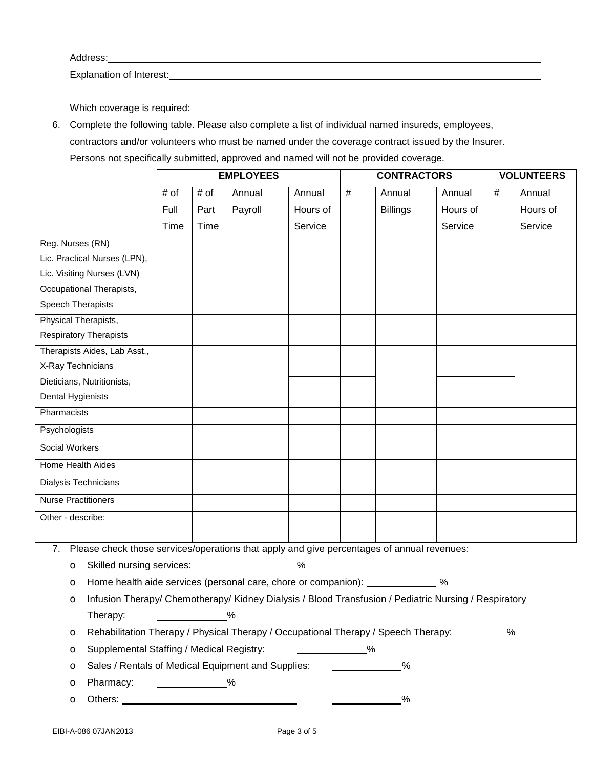Address:

Explanation of Interest:

Which coverage is required: \_\_\_\_\_\_\_\_\_\_\_\_\_\_

6. Complete the following table. Please also complete a list of individual named insureds, employees, contractors and/or volunteers who must be named under the coverage contract issued by the Insurer. Persons not specifically submitted, approved and named will not be provided coverage.

|                                                                                                  | <b>EMPLOYEES</b>                                                                                      |      |         |          | <b>CONTRACTORS</b> |                 |          | <b>VOLUNTEERS</b> |          |
|--------------------------------------------------------------------------------------------------|-------------------------------------------------------------------------------------------------------|------|---------|----------|--------------------|-----------------|----------|-------------------|----------|
|                                                                                                  | # of                                                                                                  | # of | Annual  | Annual   | #                  | Annual          | Annual   | #                 | Annual   |
|                                                                                                  | Full                                                                                                  | Part | Payroll | Hours of |                    | <b>Billings</b> | Hours of |                   | Hours of |
|                                                                                                  | Time                                                                                                  | Time |         | Service  |                    |                 | Service  |                   | Service  |
| Reg. Nurses (RN)                                                                                 |                                                                                                       |      |         |          |                    |                 |          |                   |          |
| Lic. Practical Nurses (LPN),                                                                     |                                                                                                       |      |         |          |                    |                 |          |                   |          |
| Lic. Visiting Nurses (LVN)                                                                       |                                                                                                       |      |         |          |                    |                 |          |                   |          |
| Occupational Therapists,                                                                         |                                                                                                       |      |         |          |                    |                 |          |                   |          |
| Speech Therapists                                                                                |                                                                                                       |      |         |          |                    |                 |          |                   |          |
| Physical Therapists,                                                                             |                                                                                                       |      |         |          |                    |                 |          |                   |          |
| <b>Respiratory Therapists</b>                                                                    |                                                                                                       |      |         |          |                    |                 |          |                   |          |
| Therapists Aides, Lab Asst.,                                                                     |                                                                                                       |      |         |          |                    |                 |          |                   |          |
| X-Ray Technicians                                                                                |                                                                                                       |      |         |          |                    |                 |          |                   |          |
| Dieticians, Nutritionists,                                                                       |                                                                                                       |      |         |          |                    |                 |          |                   |          |
| Dental Hygienists                                                                                |                                                                                                       |      |         |          |                    |                 |          |                   |          |
| Pharmacists                                                                                      |                                                                                                       |      |         |          |                    |                 |          |                   |          |
| Psychologists                                                                                    |                                                                                                       |      |         |          |                    |                 |          |                   |          |
| Social Workers                                                                                   |                                                                                                       |      |         |          |                    |                 |          |                   |          |
| Home Health Aides                                                                                |                                                                                                       |      |         |          |                    |                 |          |                   |          |
| Dialysis Technicians                                                                             |                                                                                                       |      |         |          |                    |                 |          |                   |          |
| <b>Nurse Practitioners</b>                                                                       |                                                                                                       |      |         |          |                    |                 |          |                   |          |
| Other - describe:                                                                                |                                                                                                       |      |         |          |                    |                 |          |                   |          |
|                                                                                                  |                                                                                                       |      |         |          |                    |                 |          |                   |          |
| Please check those services/operations that apply and give percentages of annual revenues:<br>7. |                                                                                                       |      |         |          |                    |                 |          |                   |          |
| Skilled nursing services:<br>%<br>$\circ$                                                        |                                                                                                       |      |         |          |                    |                 |          |                   |          |
| Home health aide services (personal care, chore or companion): ______________ %<br>$\circ$       |                                                                                                       |      |         |          |                    |                 |          |                   |          |
| $\circ$                                                                                          | Infusion Therapy/ Chemotherapy/ Kidney Dialysis / Blood Transfusion / Pediatric Nursing / Respiratory |      |         |          |                    |                 |          |                   |          |
| Therapy:                                                                                         | $\%$                                                                                                  |      |         |          |                    |                 |          |                   |          |
| O                                                                                                | Rehabilitation Therapy / Physical Therapy / Occupational Therapy / Speech Therapy:<br>%               |      |         |          |                    |                 |          |                   |          |

o Supplemental Staffing / Medical Registry: %

o Sales / Rentals of Medical Equipment and Supplies: %

- **o** Pharmacy: <u>\_\_\_\_\_\_\_\_\_\_\_\_\_\_%</u>
- o Others: %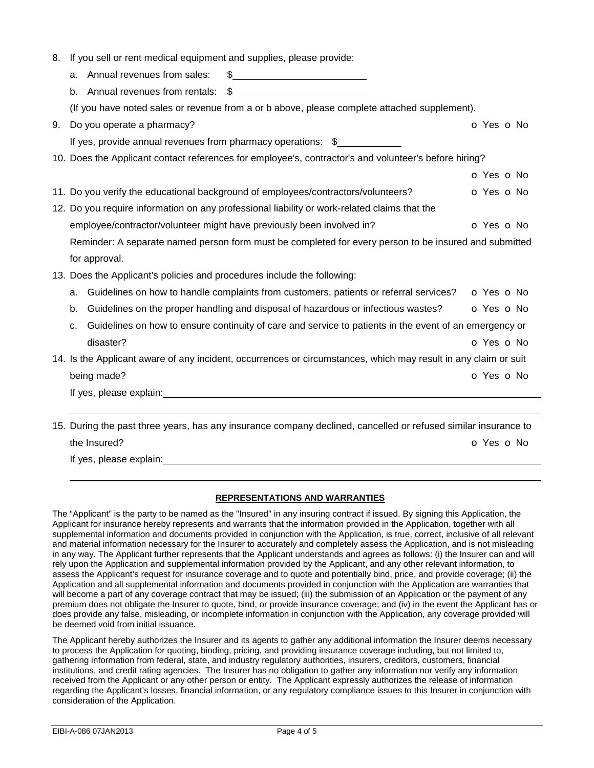8. If you sell or rent medical equipment and supplies, please provide:

|    | \$<br>Annual revenues from sales:<br>а.                                                                         |            |
|----|-----------------------------------------------------------------------------------------------------------------|------------|
|    | b. Annual revenues from rentals:                                                                                |            |
|    | (If you have noted sales or revenue from a or b above, please complete attached supplement).                    |            |
| 9. | Do you operate a pharmacy?                                                                                      | O Yes O No |
|    | If yes, provide annual revenues from pharmacy operations: $\frac{2}{3}$                                         |            |
|    | 10. Does the Applicant contact references for employee's, contractor's and volunteer's before hiring?           |            |
|    |                                                                                                                 | O Yes O No |
|    | 11. Do you verify the educational background of employees/contractors/volunteers?                               | o Yes o No |
|    | 12. Do you require information on any professional liability or work-related claims that the                    |            |
|    | employee/contractor/volunteer might have previously been involved in?                                           | o Yes o No |
|    | Reminder: A separate named person form must be completed for every person to be insured and submitted           |            |
|    | for approval.                                                                                                   |            |
|    | 13. Does the Applicant's policies and procedures include the following:                                         |            |
|    | Guidelines on how to handle complaints from customers, patients or referral services?<br>a.                     | o Yes o No |
|    | Guidelines on the proper handling and disposal of hazardous or infectious wastes?<br>b.                         | O Yes O No |
|    | Guidelines on how to ensure continuity of care and service to patients in the event of an emergency or<br>C.    |            |
|    | disaster?                                                                                                       | O Yes O No |
|    | 14. Is the Applicant aware of any incident, occurrences or circumstances, which may result in any claim or suit |            |
|    | being made?                                                                                                     | O Yes O No |
|    |                                                                                                                 |            |
|    |                                                                                                                 |            |
|    | 15. During the past three years, has any insurance company declined, cancelled or refused similar insurance to  |            |
|    | the Insured?                                                                                                    | O Yes O No |

If yes, please explain:

### **REPRESENTATIONS AND WARRANTIES**

The "Applicant" is the party to be named as the "Insured" in any insuring contract if issued. By signing this Application, the Applicant for insurance hereby represents and warrants that the information provided in the Application, together with all supplemental information and documents provided in conjunction with the Application, is true, correct, inclusive of all relevant and material information necessary for the Insurer to accurately and completely assess the Application, and is not misleading in any way. The Applicant further represents that the Applicant understands and agrees as follows: (i) the Insurer can and will rely upon the Application and supplemental information provided by the Applicant, and any other relevant information, to assess the Applicant's request for insurance coverage and to quote and potentially bind, price, and provide coverage; (ii) the Application and all supplemental information and documents provided in conjunction with the Application are warranties that will become a part of any coverage contract that may be issued; (iii) the submission of an Application or the payment of any premium does not obligate the Insurer to quote, bind, or provide insurance coverage; and (iv) in the event the Applicant has or does provide any false, misleading, or incomplete information in conjunction with the Application, any coverage provided will be deemed void from initial issuance.

The Applicant hereby authorizes the Insurer and its agents to gather any additional information the Insurer deems necessary to process the Application for quoting, binding, pricing, and providing insurance coverage including, but not limited to, gathering information from federal, state, and industry regulatory authorities, insurers, creditors, customers, financial institutions, and credit rating agencies. The Insurer has no obligation to gather any information nor verify any information received from the Applicant or any other person or entity. The Applicant expressly authorizes the release of information regarding the Applicant's losses, financial information, or any regulatory compliance issues to this Insurer in conjunction with consideration of the Application.